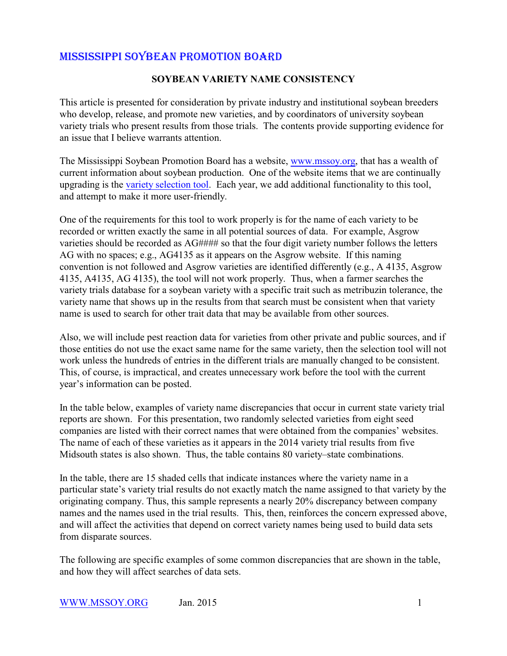## MISSISSIPPI SOYBEAN PROMOTION BOARD

### **SOYBEAN VARIETY NAME CONSISTENCY**

This article is presented for consideration by private industry and institutional soybean breeders who develop, release, and promote new varieties, and by coordinators of university soybean variety trials who present results from those trials. The contents provide supporting evidence for an issue that I believe warrants attention.

The Mississippi Soybean Promotion Board has a website, [www.mssoy.org](http://www.mssoy.org), that has a wealth of current information about soybean production. One of the website items that we are continually upgrading is the [variety selection tool](http://mssoy.org/variety-trials/). Each year, we add additional functionality to this tool, and attempt to make it more user-friendly.

One of the requirements for this tool to work properly is for the name of each variety to be recorded or written exactly the same in all potential sources of data. For example, Asgrow varieties should be recorded as AG#### so that the four digit variety number follows the letters AG with no spaces; e.g., AG4135 as it appears on the Asgrow website. If this naming convention is not followed and Asgrow varieties are identified differently (e.g., A 4135, Asgrow 4135, A4135, AG 4135), the tool will not work properly. Thus, when a farmer searches the variety trials database for a soybean variety with a specific trait such as metribuzin tolerance, the variety name that shows up in the results from that search must be consistent when that variety name is used to search for other trait data that may be available from other sources.

Also, we will include pest reaction data for varieties from other private and public sources, and if those entities do not use the exact same name for the same variety, then the selection tool will not work unless the hundreds of entries in the different trials are manually changed to be consistent. This, of course, is impractical, and creates unnecessary work before the tool with the current year's information can be posted.

In the table below, examples of variety name discrepancies that occur in current state variety trial reports are shown. For this presentation, two randomly selected varieties from eight seed companies are listed with their correct names that were obtained from the companies' websites. The name of each of these varieties as it appears in the 2014 variety trial results from five Midsouth states is also shown. Thus, the table contains 80 variety–state combinations.

In the table, there are 15 shaded cells that indicate instances where the variety name in a particular state's variety trial results do not exactly match the name assigned to that variety by the originating company. Thus, this sample represents a nearly 20% discrepancy between company names and the names used in the trial results. This, then, reinforces the concern expressed above, and will affect the activities that depend on correct variety names being used to build data sets from disparate sources.

The following are specific examples of some common discrepancies that are shown in the table, and how they will affect searches of data sets.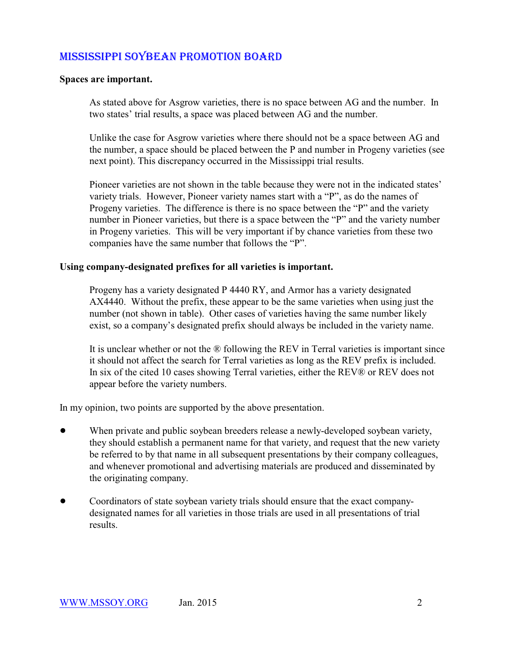## MISSISSIPPI SOYBEAN PROMOTION BOARD

#### **Spaces are important.**

As stated above for Asgrow varieties, there is no space between AG and the number. In two states' trial results, a space was placed between AG and the number.

Unlike the case for Asgrow varieties where there should not be a space between AG and the number, a space should be placed between the P and number in Progeny varieties (see next point). This discrepancy occurred in the Mississippi trial results.

Pioneer varieties are not shown in the table because they were not in the indicated states' variety trials. However, Pioneer variety names start with a "P", as do the names of Progeny varieties. The difference is there is no space between the "P" and the variety number in Pioneer varieties, but there is a space between the "P" and the variety number in Progeny varieties. This will be very important if by chance varieties from these two companies have the same number that follows the "P".

#### **Using company-designated prefixes for all varieties is important.**

Progeny has a variety designated P 4440 RY, and Armor has a variety designated AX4440. Without the prefix, these appear to be the same varieties when using just the number (not shown in table). Other cases of varieties having the same number likely exist, so a company's designated prefix should always be included in the variety name.

It is unclear whether or not the ® following the REV in Terral varieties is important since it should not affect the search for Terral varieties as long as the REV prefix is included. In six of the cited 10 cases showing Terral varieties, either the REV® or REV does not appear before the variety numbers.

In my opinion, two points are supported by the above presentation.

- When private and public soybean breeders release a newly-developed soybean variety, they should establish a permanent name for that variety, and request that the new variety be referred to by that name in all subsequent presentations by their company colleagues, and whenever promotional and advertising materials are produced and disseminated by the originating company.
- ! Coordinators of state soybean variety trials should ensure that the exact companydesignated names for all varieties in those trials are used in all presentations of trial results.